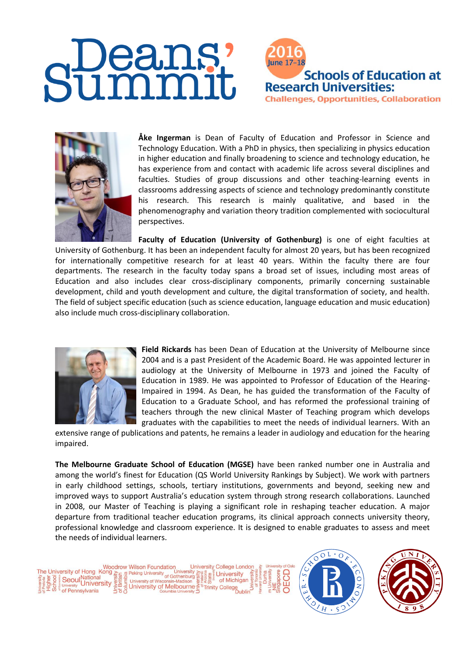## **lune 17-18 Schools of Education at Research Universities: Challenges, Opportunities, Collaboration**



**Åke Ingerman** is Dean of Faculty of Education and Professor in Science and Technology Education. With a PhD in physics, then specializing in physics education in higher education and finally broadening to science and technology education, he has experience from and contact with academic life across several disciplines and faculties. Studies of group discussions and other teaching-learning events in classrooms addressing aspects of science and technology predominantly constitute his research. This research is mainly qualitative, and based in the phenomenography and variation theory tradition complemented with sociocultural perspectives.

**Faculty of Education (University of Gothenburg)** is one of eight faculties at [University of Gothenburg.](http://www.gu.se/english) It has been an independent faculty for almost 20 years, but has been recognized for internationally competitive research for at least 40 years. Within the faculty there are four [departments.](http://uf.gu.se/english/departments_and_units) The [research](http://uf.gu.se/english/research) in the faculty today spans a broad set of issues, including most areas of Education and also includes clear cross-disciplinary components, primarily concerning sustainable development, child and youth development and culture, the digital transformation of society, and health. The field of subject specific education (such as science education, language education and music education) also include much cross-disciplinary collaboration.



**Field Rickards** has been Dean of Education at the University of Melbourne since 2004 and is a past President of the Academic Board. He was appointed lecturer in audiology at the University of Melbourne in 1973 and joined the Faculty of Education in 1989. He was appointed to Professor of Education of the Hearing-Impaired in 1994. As Dean, he has guided the transformation of the Faculty of Education to a Graduate School, and has reformed the professional training of teachers through the new clinical Master of Teaching program which develops graduates with the capabilities to meet the needs of individual learners. With an

extensive range of publications and patents, he remains a leader in audiology and education for the hearing impaired.

**The Melbourne Graduate School of Education (MGSE)** have been ranked number one in Australia and among the world's finest for Education (QS World University Rankings by Subject). We work with partners in early childhood settings, schools, tertiary institutions, governments and beyond, seeking new and improved ways to support Australia's education system through strong research collaborations. Launched in 2008, our Master of Teaching is playing a significant role in reshaping teacher education. A major departure from traditional teacher education programs, its clinical approach connects university theory, professional knowledge and classroom experience. It is designed to enable graduates to assess and meet the needs of individual learners.





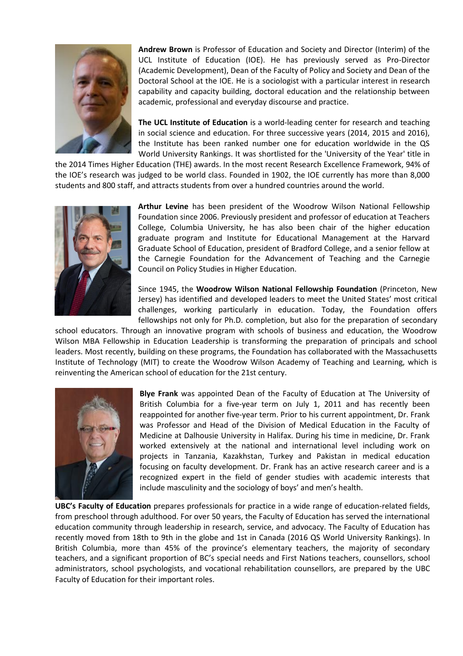

**Andrew Brown** is Professor of Education and Society and Director (Interim) of the UCL Institute of Education (IOE). He has previously served as Pro-Director (Academic Development), Dean of the Faculty of Policy and Society and Dean of the Doctoral School at the IOE. He is a sociologist with a particular interest in research capability and capacity building, doctoral education and the relationship between academic, professional and everyday discourse and practice.

**The UCL Institute of Education** is a world-leading center for research and teaching in social science and education. For three successive years (2014, 2015 and 2016), the Institute has been ranked number one for education worldwide in the QS World University Rankings. It was shortlisted for the 'University of the Year' title in

the 2014 Times Higher Education (THE) awards. In the most recent Research Excellence Framework, 94% of the IOE's research was judged to be world class. Founded in 1902, the IOE currently has more than 8,000 students and 800 staff, and attracts students from over a hundred countries around the world.



**Arthur Levine** has been president of the Woodrow Wilson National Fellowship Foundation since 2006. Previously president and professor of education at Teachers College, Columbia University, he has also been chair of the higher education graduate program and Institute for Educational Management at the Harvard Graduate School of Education, president of Bradford College, and a senior fellow at the Carnegie Foundation for the Advancement of Teaching and the Carnegie Council on Policy Studies in Higher Education.

Since 1945, the **Woodrow Wilson National Fellowship Foundation** (Princeton, New Jersey) has identified and developed leaders to meet the United States' most critical challenges, working particularly in education. Today, the Foundation offers fellowships not only for Ph.D. completion, but also for the preparation of secondary

school educators. Through an innovative program with schools of business and education, the Woodrow Wilson MBA Fellowship in Education Leadership is transforming the preparation of principals and school leaders. Most recently, building on these programs, the Foundation has collaborated with the Massachusetts Institute of Technology (MIT) to create the Woodrow Wilson Academy of Teaching and Learning, which is reinventing the American school of education for the 21st century.



**Blye Frank** was appointed Dean of the Faculty of Education at The University of British Columbia for a five-year term on July 1, 2011 and has recently been reappointed for another five-year term. Prior to his current appointment, Dr. Frank was Professor and Head of the Division of Medical Education in the Faculty of Medicine at Dalhousie University in Halifax. During his time in medicine, Dr. Frank worked extensively at the national and international level including work on projects in Tanzania, Kazakhstan, Turkey and Pakistan in medical education focusing on faculty development. Dr. Frank has an active research career and is a recognized expert in the field of gender studies with academic interests that include masculinity and the sociology of boys' and men's health.

**UBC's Faculty of Education** prepares professionals for practice in a wide range of education-related fields, from preschool through adulthood. For over 50 years, the Faculty of Education has served the international education community through leadership in research, service, and advocacy. The Faculty of Education has recently moved from 18th to 9th in the globe and 1st in Canada [\(2016 QS World University Rankings\)](http://www.topuniversities.com/university-rankings/university-subject-rankings/2016/education-training#sorting=rank+region=+country=+faculty=+stars=false+search=). In British Columbia, more than 45% of the province's elementary teachers, the majority of secondary teachers, and a significant proportion of BC's special needs and First Nations teachers, counsellors, school administrators, school psychologists, and vocational rehabilitation counsellors, are prepared by the UBC Faculty of Education for their important roles.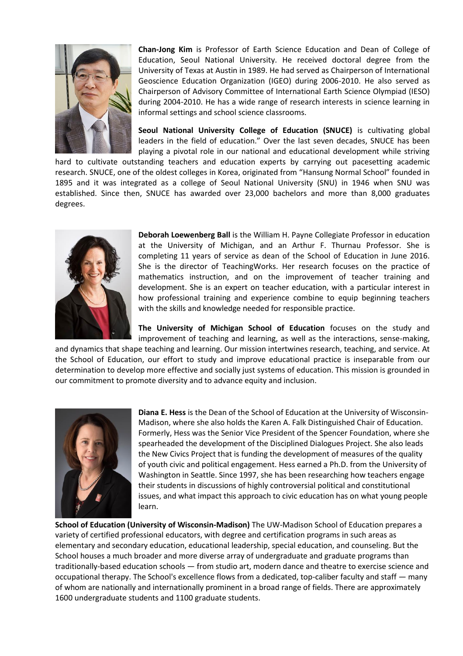

**Chan-Jong Kim** is Professor of Earth Science Education and Dean of College of Education, Seoul National University. He received doctoral degree from the University of Texas at Austin in 1989. He had served as Chairperson of International Geoscience Education Organization (IGEO) during 2006-2010. He also served as Chairperson of Advisory Committee of International Earth Science Olympiad (IESO) during 2004-2010. He has a wide range of research interests in science learning in informal settings and school science classrooms.

**Seoul National University College of Education (SNUCE)** is cultivating global leaders in the field of education." Over the last seven decades, SNUCE has been playing a pivotal role in our national and educational development while striving

hard to cultivate outstanding teachers and education experts by carrying out pacesetting academic research. SNUCE, one of the oldest colleges in Korea, originated from "Hansung Normal School" founded in 1895 and it was integrated as a college of Seoul National University (SNU) in 1946 when SNU was established. Since then, SNUCE has awarded over 23,000 bachelors and more than 8,000 graduates degrees.



**Deborah Loewenberg Ball** is the William H. Payne Collegiate Professor in education at the University of Michigan, and an Arthur F. Thurnau Professor. She is completing 11 years of service as dean of the School of Education in June 2016. She is the director of TeachingWorks. Her research focuses on the practice of mathematics instruction, and on the improvement of teacher training and development. She is an expert on teacher education, with a particular interest in how professional training and experience combine to equip beginning teachers with the skills and knowledge needed for responsible practice.

**The University of Michigan School of Education** focuses on the study and improvement of teaching and learning, as well as the interactions, sense-making,

and dynamics that shape teaching and learning. Our mission intertwines research, teaching, and service. At the School of Education, our effort to study and improve educational practice is inseparable from our determination to develop more effective and socially just systems of education. This mission is grounded in our commitment to promote diversity and to advance equity and inclusion.



**Diana E. Hess** is the Dean of the School of Education at the University of Wisconsin-Madison, where she also holds the Karen A. Falk Distinguished Chair of Education. Formerly, Hess was the Senior Vice President of the Spencer Foundation, where she spearheaded the development of the Disciplined Dialogues Project. She also leads the New Civics Project that is funding the development of measures of the quality of youth civic and political engagement. Hess earned a Ph.D. from the University of Washington in Seattle. Since 1997, she has been researching how teachers engage their students in discussions of highly controversial political and constitutional issues, and what impact this approach to civic education has on what young people learn.

**School of Education (University of Wisconsin-Madison)** The UW-Madison School of Education prepares a variety of certified professional educators, with degree and certification programs in such areas as elementary and secondary education, educational leadership, special education, and counseling. But the School houses a much broader and more diverse array of undergraduate and graduate programs than traditionally-based education schools — from studio art, modern dance and theatre to exercise science and occupational therapy. The School's excellence flows from a dedicated, top-caliber faculty and staff — many of whom are nationally and internationally prominent in a broad range of fields. There are approximately 1600 undergraduate students and 1100 graduate students.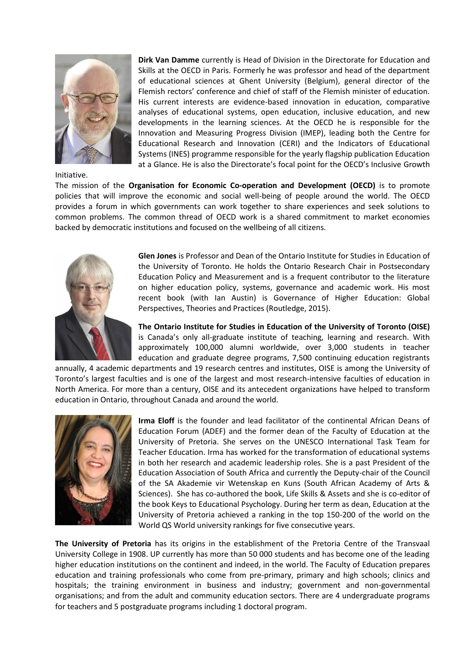

Initiative.

**Dirk Van Damme** currently is Head of Division in the Directorate for Education and Skills at the OECD in Paris. Formerly he was professor and head of the department of educational sciences at Ghent University (Belgium), general director of the Flemish rectors' conference and chief of staff of the Flemish minister of education. His current interests are evidence-based innovation in education, comparative analyses of educational systems, open education, inclusive education, and new developments in the learning sciences. At the OECD he is responsible for the Innovation and Measuring Progress Division (IMEP), leading both the Centre for Educational Research and Innovation (CERI) and the Indicators of Educational Systems (INES) programme responsible for the yearly flagship publication Education at a Glance. He is also the Directorate's focal point for the OECD's Inclusive Growth

The mission of the **Organisation for Economic Co-operation and Development (OECD)** is to promote policies that will improve the economic and social well-being of people around the world. The OECD provides a forum in which governments can work together to share experiences and seek solutions to common problems. The common thread of OECD work is a shared commitment to market economies backed by democratic institutions and focused on the wellbeing of all citizens.



**Glen Jones** is Professor and Dean of the Ontario Institute for Studies in Education of the University of Toronto. He holds the Ontario Research Chair in Postsecondary Education Policy and Measurement and is a frequent contributor to the literature on higher education policy, systems, governance and academic work. His most recent book (with Ian Austin) is Governance of Higher Education: Global Perspectives, Theories and Practices (Routledge, 2015).

**The Ontario Institute for Studies in Education of the University of Toronto (OISE)**  is Canada's only all-graduate institute of teaching, learning and research. With approximately 100,000 alumni worldwide, over 3,000 students in teacher education and graduate degree programs, 7,500 continuing education registrants

annually, 4 academic departments and 19 research centres and institutes, OISE is among the University of Toronto's largest faculties and is one of the largest and most research-intensive faculties of education in North America. For more than a century, OISE and its antecedent organizations have helped to transform education in Ontario, throughout Canada and around the world.



**Irma Eloff** is the founder and lead facilitator of the continental African Deans of Education Forum (ADEF) and the former dean of the Faculty of Education at the University of Pretoria. She serves on the UNESCO International Task Team for Teacher Education. Irma has worked for the transformation of educational systems in both her research and academic leadership roles. She is a past President of the Education Association of South Africa and currently the Deputy-chair of the Council of the SA Akademie vir Wetenskap en Kuns (South African Academy of Arts & Sciences). She has co-authored the book, Life Skills & Assets and she is co-editor of the book Keys to Educational Psychology. During her term as dean, Education at the University of Pretoria achieved a ranking in the top 150-200 of the world on the World QS World university rankings for five consecutive years.

**The University of Pretoria** has its origins in the establishment of the Pretoria Centre of the Transvaal University College in 1908. UP currently has more than 50 000 students and has become one of the leading higher education institutions on the continent and indeed, in the world. The Faculty of Education prepares education and training professionals who come from pre-primary, primary and high schools; clinics and hospitals; the training environment in business and industry; government and non-governmental organisations; and from the adult and community education sectors. There are 4 undergraduate programs for teachers and 5 postgraduate programs including 1 doctoral program.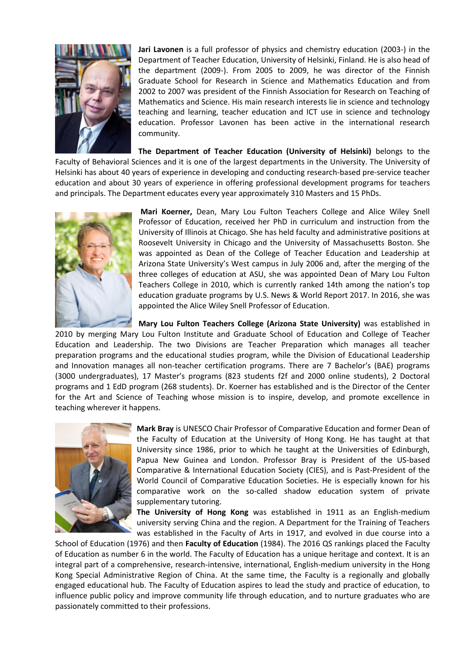

**Jari Lavonen** is a full professor of physics and chemistry education (2003-) in the Department of Teacher Education, University of Helsinki, Finland. He is also head of the department (2009-). From 2005 to 2009, he was director of the Finnish Graduate School for Research in Science and Mathematics Education and from 2002 to 2007 was president of the Finnish Association for Research on Teaching of Mathematics and Science. His main research interests lie in science and technology teaching and learning, teacher education and ICT use in science and technology education. Professor Lavonen has been active in the international research community.

**The Department of Teacher Education (University of Helsinki)** belongs to the Faculty of Behavioral Sciences and it is one of the largest departments in the University. The University of Helsinki has about 40 years of experience in developing and conducting research-based pre-service teacher education and about 30 years of experience in offering professional development programs for teachers and principals. The Department educates every year approximately 310 Masters and 15 PhDs.



**Mari Koerner,** Dean, Mary Lou Fulton Teachers College and Alice Wiley Snell Professor of Education, received her PhD in curriculum and instruction from the University of Illinois at Chicago. She has held faculty and administrative positions at Roosevelt University in Chicago and the University of Massachusetts Boston. She was appointed as Dean of the College of Teacher Education and Leadership at Arizona State University's West campus in July 2006 and, after the merging of the three colleges of education at ASU, she was appointed Dean of Mary Lou Fulton Teachers College in 2010, which is currently ranked 14th among the nation's top education graduate programs by U.S. News & World Report 2017. In 2016, she was appointed the Alice Wiley Snell Professor of Education.

**Mary Lou Fulton Teachers College (Arizona State University)** was established in 2010 by merging Mary Lou Fulton Institute and Graduate School of Education and College of Teacher Education and Leadership. The two Divisions are Teacher Preparation which manages all teacher preparation programs and the educational studies program, while the Division of Educational Leadership and Innovation manages all non-teacher certification programs. There are 7 Bachelor's (BAE) programs (3000 undergraduates), 17 Master's programs (823 students f2f and 2000 online students), 2 Doctoral programs and 1 EdD program (268 students). Dr. Koerner has established and is the Director of the Center for the Art and Science of Teaching whose mission is to inspire, develop, and promote excellence in teaching wherever it happens.



**Mark Bray** is UNESCO Chair Professor of Comparative Education and former Dean of the Faculty of Education at the University of Hong Kong. He has taught at that University since 1986, prior to which he taught at the Universities of Edinburgh, Papua New Guinea and London. Professor Bray is President of the US-based Comparative & International Education Society (CIES), and is Past-President of the World Council of Comparative Education Societies. He is especially known for his comparative work on the so-called shadow education system of private supplementary tutoring.

**The University of Hong Kong** was established in 1911 as an English-medium university serving China and the region. A Department for the Training of Teachers was established in the Faculty of Arts in 1917, and evolved in due course into a

School of Education (1976) and then **Faculty of Education** (1984). The 2016 QS rankings placed the Faculty of Education as number 6 in the world. The Faculty of Education has a unique heritage and context. It is an integral part of a comprehensive, research-intensive, international, English-medium university in the Hong Kong Special Administrative Region of China. At the same time, the Faculty is a regionally and globally engaged educational hub. The Faculty of Education aspires to lead the study and practice of education, to influence public policy and improve community life through education, and to nurture graduates who are passionately committed to their professions.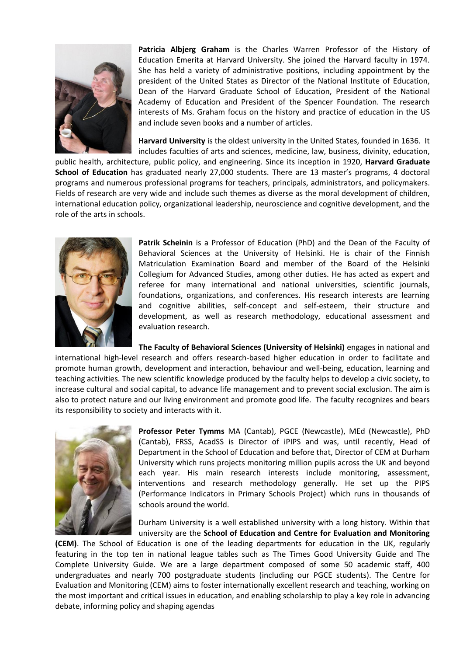

**Patricia Albjerg Graham** is the Charles Warren Professor of the History of Education Emerita at Harvard University. She joined the Harvard faculty in 1974. She has held a variety of administrative positions, including appointment by the president of the United States as Director of the National Institute of Education, Dean of the Harvard Graduate School of Education, President of the National Academy of Education and President of the Spencer Foundation. The research interests of Ms. Graham focus on the history and practice of education in the US and include seven books and a number of articles.

**Harvard University** is the oldest university in the United States, founded in 1636. It includes faculties of arts and sciences, medicine, law, business, divinity, education,

public health, architecture, public policy, and engineering. Since its inception in 1920, **Harvard Graduate School of Education** has graduated nearly 27,000 students. There are 13 master's programs, 4 doctoral programs and numerous professional programs for teachers, principals, administrators, and policymakers. Fields of research are very wide and include such themes as diverse as the moral development of children, international education policy, organizational leadership, neuroscience and cognitive development, and the role of the arts in schools.



**Patrik Scheinin** is a Professor of Education (PhD) and the Dean of the Faculty of Behavioral Sciences at the University of Helsinki. He is chair of the Finnish Matriculation Examination Board and member of the Board of the Helsinki Collegium for Advanced Studies, among other duties. He has acted as expert and referee for many international and national universities, scientific journals, foundations, organizations, and conferences. His research interests are learning and cognitive abilities, self-concept and self-esteem, their structure and development, as well as research methodology, educational assessment and evaluation research.

**The Faculty of Behavioral Sciences (University of Helsinki)** engages in national and international high-level research and offers research-based higher education in order to facilitate and promote human growth, development and interaction, behaviour and well-being, education, learning and teaching activities. The new scientific knowledge produced by the faculty helps to develop a civic society, to increase cultural and social capital, to advance life management and to prevent social exclusion. The aim is also to protect nature and our living environment and promote good life. The faculty recognizes and bears its responsibility to society and interacts with it.



**Professor Peter Tymms** MA (Cantab), PGCE (Newcastle), MEd (Newcastle), PhD (Cantab), FRSS, AcadSS is Director of iPIPS and was, until recently, Head of Department in the School of Education and before that, Director of CEM at Durham University which runs projects monitoring million pupils across the UK and beyond each year. His main research interests include monitoring, assessment, interventions and research methodology generally. He set up the PIPS (Performance Indicators in Primary Schools Project) which runs in thousands of schools around the world.

Durham University is a well established university with a long history. Within that university are the **School of Education and Centre for Evaluation and Monitoring** 

**(CEM)**. The School of Education is one of the leading departments for education in the UK, regularly featuring in the top ten in national league tables such as The Times Good University Guide and The Complete University Guide. We are a large department composed of some 50 academic staff, 400 undergraduates and nearly 700 postgraduate students (including our PGCE students). The Centre for Evaluation and Monitoring (CEM) aims to foster internationally excellent research and teaching, working on the most important and critical issues in education, and enabling scholarship to play a key role in advancing debate, informing policy and shaping agendas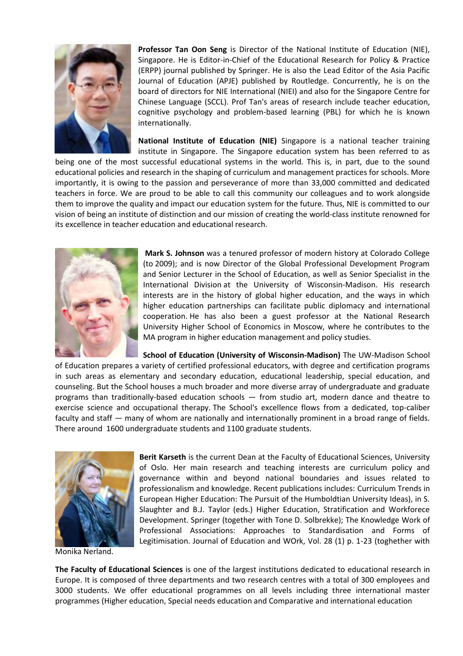

**Professor Tan Oon Seng** is Director of the National Institute of Education (NIE), Singapore. He is Editor-in-Chief of the Educational Research for Policy & Practice (ERPP) journal published by Springer. He is also the Lead Editor of the Asia Pacific Journal of Education (APJE) published by Routledge. Concurrently, he is on the board of directors for NIE International (NIEI) and also for the Singapore Centre for Chinese Language (SCCL). Prof Tan's areas of research include teacher education, cognitive psychology and problem-based learning (PBL) for which he is known internationally.

**National Institute of Education (NIE)** Singapore is a national teacher training institute in Singapore. The Singapore education system has been referred to as

being one of the most successful educational systems in the world. This is, in part, due to the sound educational policies and research in the shaping of curriculum and management practices for schools. More importantly, it is owing to the passion and perseverance of more than 33,000 committed and dedicated teachers in force. We are proud to be able to call this community our colleagues and to work alongside them to improve the quality and impact our education system for the future. Thus, NIE is committed to our vision of being an institute of distinction and our mission of creating the world-class institute renowned for its excellence in teacher education and educational research.



**Mark S. Johnson** was a tenured professor of modern history at Colorado College (to 2009); and is now Director of the Global Professional Development Program and Senior Lecturer in the School of Education, as well as Senior Specialist in the International Division at the University of Wisconsin-Madison. His research interests are in the history of global higher education, and the ways in which higher education partnerships can facilitate public diplomacy and international cooperation. He has also been a guest professor at the National Research University Higher School of Economics in Moscow, where he contributes to the MA program in higher education management and policy studies.

**School of Education (University of Wisconsin-Madison)** The UW-Madison School of Education prepares a variety of certified professional educators, with degree and certification programs in such areas as elementary and secondary education, educational leadership, special education, and counseling. But the School houses a much broader and more diverse array of undergraduate and graduate programs than traditionally-based education schools — from studio art, modern dance and theatre to exercise science and occupational therapy. The School's excellence flows from a dedicated, top-caliber faculty and staff — many of whom are nationally and internationally prominent in a broad range of fields. There around 1600 undergraduate students and 1100 graduate students.



**Berit Karseth** is the current Dean at the Faculty of Educational Sciences, University of Oslo. Her main research and teaching interests are curriculum policy and governance within and beyond national boundaries and issues related to professionalism and knowledge. Recent publications includes: Curriculum Trends in European Higher Education: The Pursuit of the Humboldtian University Ideas), in S. Slaughter and B.J. Taylor (eds.) Higher Education, Stratification and Workforece Development. Springer (together with Tone D. Solbrekke); The Knowledge Work of Professional Associations: Approaches to Standardisation and Forms of Legitimisation. Journal of Education and WOrk, Vol. 28 (1) p. 1-23 (toghether with

Monika Nerland.

**The Faculty of Educational Sciences** is one of the largest institutions dedicated to educational research in Europe. It is composed of three departments and two research centres with a total of 300 employees and 3000 students. We offer educational programmes on all levels including three international master programmes (Higher education, Special needs education and Comparative and international education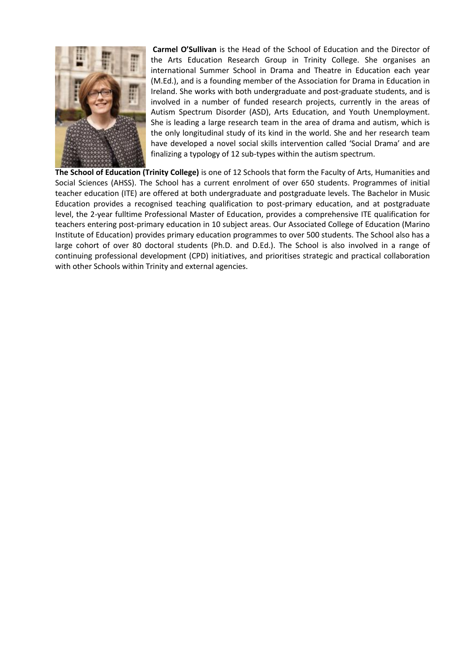

**Carmel O'Sullivan** is the Head of the School of Education and the Director of the Arts Education Research Group in Trinity College. She organises an international Summer School in Drama and Theatre in Education each year (M.Ed.), and is a founding member of the Association for Drama in Education in Ireland. She works with both undergraduate and post-graduate students, and is involved in a number of funded research projects, currently in the areas of Autism Spectrum Disorder (ASD), Arts Education, and Youth Unemployment. She is leading a large research team in the area of drama and autism, which is the only longitudinal study of its kind in the world. She and her research team have developed a novel social skills intervention called 'Social Drama' and are finalizing a typology of 12 sub-types within the autism spectrum.

**The School of Education (Trinity College)** is one of 12 Schools that form the Faculty of Arts, Humanities and Social Sciences (AHSS). The School has a current enrolment of over 650 students. Programmes of initial teacher education (ITE) are offered at both undergraduate and postgraduate levels. The Bachelor in Music Education provides a recognised teaching qualification to post-primary education, and at postgraduate level, the 2-year fulltime Professional Master of Education, provides a comprehensive ITE qualification for teachers entering post-primary education in 10 subject areas. Our Associated College of Education (Marino Institute of Education) provides primary education programmes to over 500 students. The School also has a large cohort of over 80 doctoral students (Ph.D. and D.Ed.). The School is also involved in a range of continuing professional development (CPD) initiatives, and prioritises strategic and practical collaboration with other Schools within Trinity and external agencies.